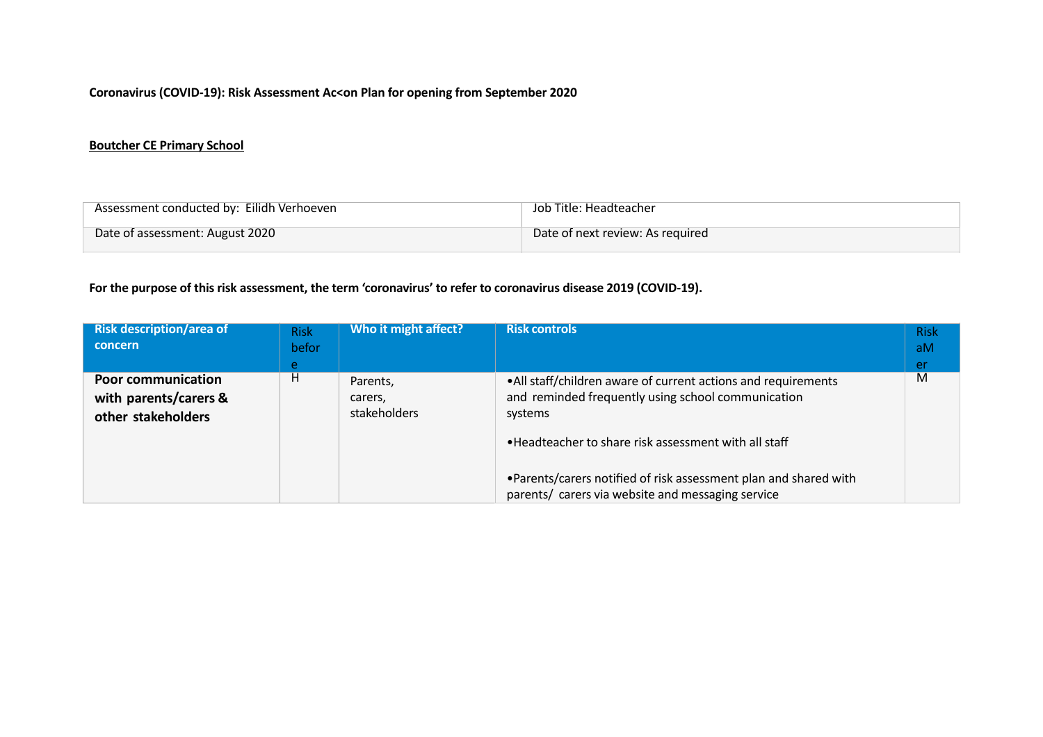## **Coronavirus (COVID-19): Risk Assessment Ac<on Plan for opening from September 2020**

## **Boutcher CE Primary School**

| Assessment conducted by: Eilidh Verhoeven | Job Title: Headteacher           |
|-------------------------------------------|----------------------------------|
| Date of assessment: August 2020           | Date of next review: As required |

## **For the purpose of thisrisk assessment, the term 'coronavirus' to refer to coronavirus disease 2019 (COVID-19).**

| <b>Risk description/area of</b><br>concern                               | <b>Risk</b><br>befor<br>e. | Who it might affect?                | <b>Risk controls</b>                                                                                                                                                                                                                                                                                              | <b>Risk</b><br>aM<br><b>er</b> |
|--------------------------------------------------------------------------|----------------------------|-------------------------------------|-------------------------------------------------------------------------------------------------------------------------------------------------------------------------------------------------------------------------------------------------------------------------------------------------------------------|--------------------------------|
| <b>Poor communication</b><br>with parents/carers &<br>other stakeholders | H                          | Parents,<br>carers,<br>stakeholders | • All staff/children aware of current actions and requirements<br>and reminded frequently using school communication<br>systems<br>• Headteacher to share risk assessment with all staff<br>•Parents/carers notified of risk assessment plan and shared with<br>parents/ carers via website and messaging service | M                              |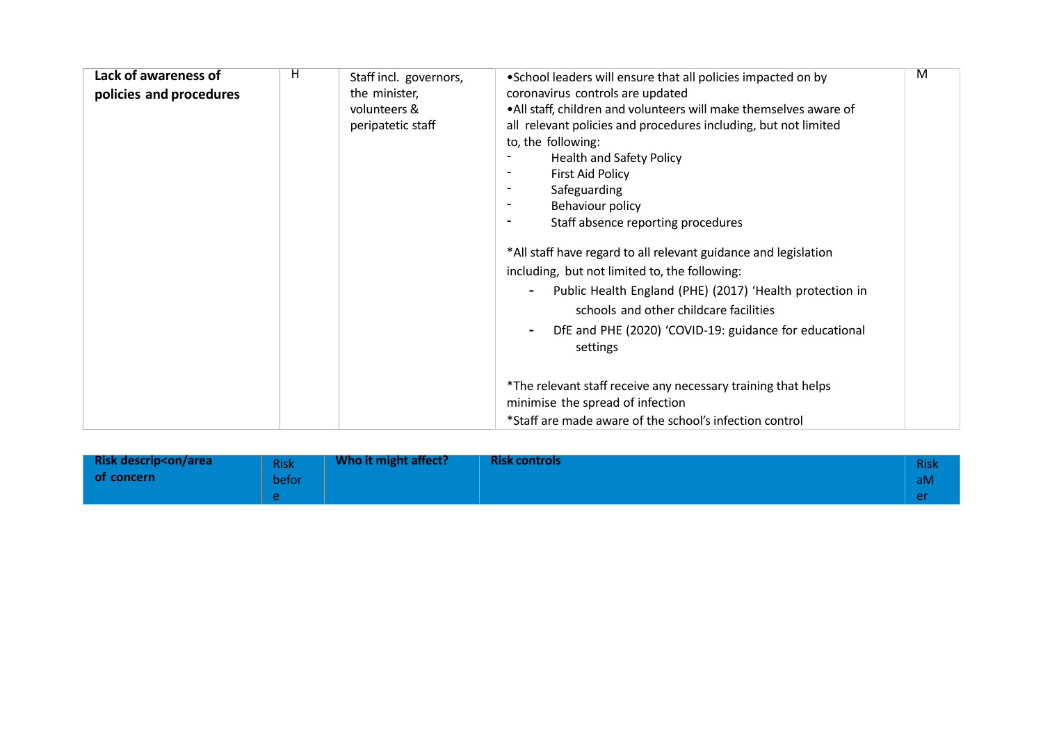| Lack of awareness of<br>policies and procedures | H<br>Staff incl. governors,<br>the minister,<br>volunteers &<br>peripatetic staff | . School leaders will ensure that all policies impacted on by<br>coronavirus controls are updated<br>• All staff, children and volunteers will make themselves aware of<br>all relevant policies and procedures including, but not limited<br>to, the following:<br><b>Health and Safety Policy</b><br><b>First Aid Policy</b><br>Safeguarding<br>Behaviour policy<br>Staff absence reporting procedures<br>*All staff have regard to all relevant guidance and legislation<br>including, but not limited to, the following:<br>Public Health England (PHE) (2017) 'Health protection in<br>schools and other childcare facilities<br>DfE and PHE (2020) 'COVID-19: guidance for educational<br>settings | M |
|-------------------------------------------------|-----------------------------------------------------------------------------------|----------------------------------------------------------------------------------------------------------------------------------------------------------------------------------------------------------------------------------------------------------------------------------------------------------------------------------------------------------------------------------------------------------------------------------------------------------------------------------------------------------------------------------------------------------------------------------------------------------------------------------------------------------------------------------------------------------|---|
|                                                 |                                                                                   | *The relevant staff receive any necessary training that helps<br>minimise the spread of infection<br>*Staff are made aware of the school's infection control                                                                                                                                                                                                                                                                                                                                                                                                                                                                                                                                             |   |

| <b>Risk descrip<on area<="" b=""></on></b> | <b>Risk</b> | Who it might affect? | <b>Risk controls</b> | <b>Risk</b> |
|--------------------------------------------|-------------|----------------------|----------------------|-------------|
| of concern                                 | befor       |                      |                      | 'aM         |
|                                            |             |                      |                      |             |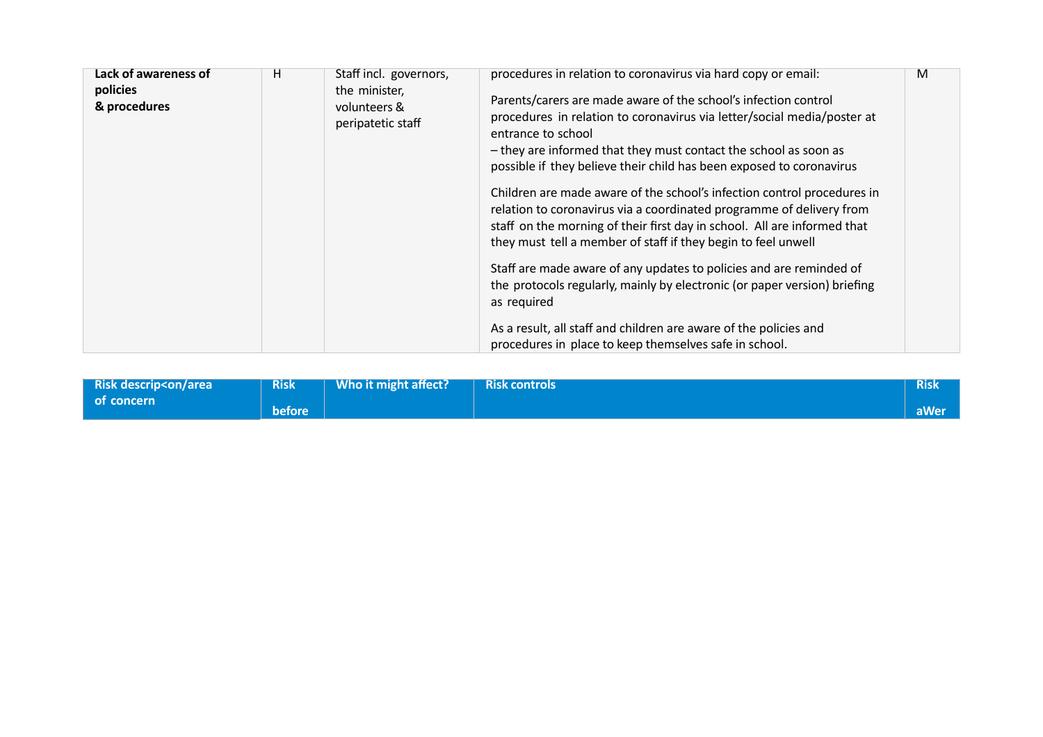| Lack of awareness of<br>policies<br>& procedures | H<br>Staff incl. governors,<br>the minister,<br>volunteers &<br>peripatetic staff | procedures in relation to coronavirus via hard copy or email:<br>Parents/carers are made aware of the school's infection control<br>procedures in relation to coronavirus via letter/social media/poster at<br>entrance to school<br>- they are informed that they must contact the school as soon as<br>possible if they believe their child has been exposed to coronavirus<br>Children are made aware of the school's infection control procedures in<br>relation to coronavirus via a coordinated programme of delivery from<br>staff on the morning of their first day in school. All are informed that<br>they must tell a member of staff if they begin to feel unwell<br>Staff are made aware of any updates to policies and are reminded of<br>the protocols regularly, mainly by electronic (or paper version) briefing<br>as required | M |
|--------------------------------------------------|-----------------------------------------------------------------------------------|--------------------------------------------------------------------------------------------------------------------------------------------------------------------------------------------------------------------------------------------------------------------------------------------------------------------------------------------------------------------------------------------------------------------------------------------------------------------------------------------------------------------------------------------------------------------------------------------------------------------------------------------------------------------------------------------------------------------------------------------------------------------------------------------------------------------------------------------------|---|
|                                                  |                                                                                   | As a result, all staff and children are aware of the policies and<br>procedures in place to keep themselves safe in school.                                                                                                                                                                                                                                                                                                                                                                                                                                                                                                                                                                                                                                                                                                                      |   |

| <b>Risk descrip<on area<="" b=""></on></b> | <b>Risk</b>   | Who it might affect? | Risk controls | <b>Risk</b> |
|--------------------------------------------|---------------|----------------------|---------------|-------------|
| l of concern                               | <b>before</b> |                      |               | aWer        |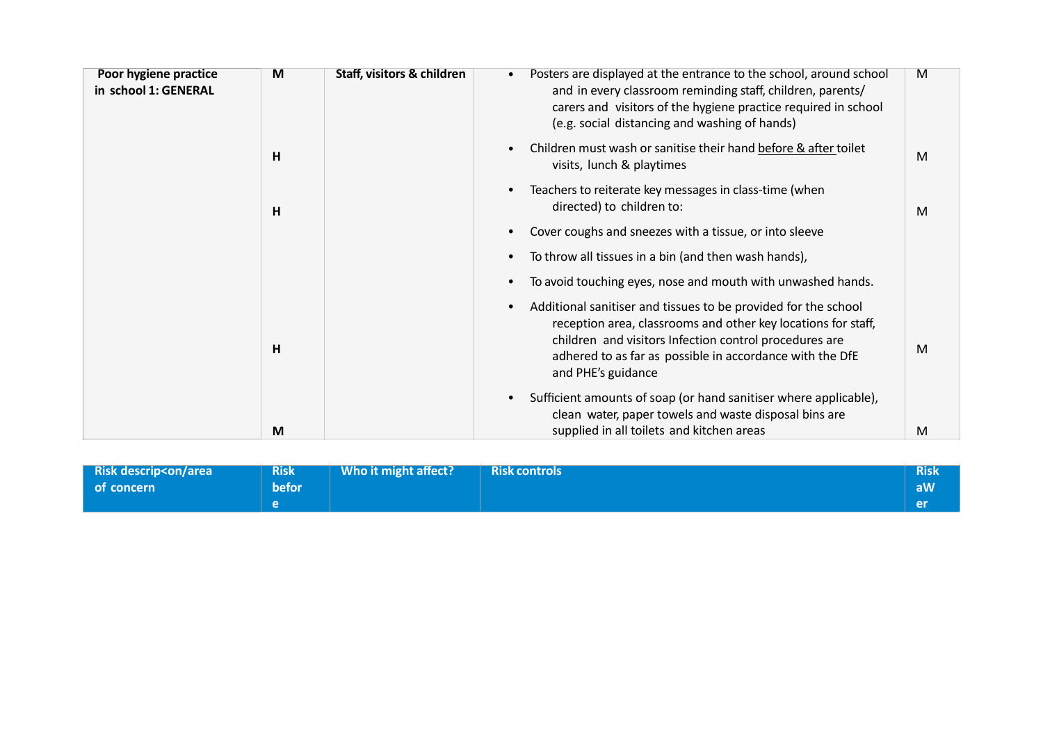| Posters are displayed at the entrance to the school, around school<br>M<br>and in every classroom reminding staff, children, parents/<br>carers and visitors of the hygiene practice required in school |
|---------------------------------------------------------------------------------------------------------------------------------------------------------------------------------------------------------|
| Children must wash or sanitise their hand before & after toilet<br>M                                                                                                                                    |
| M                                                                                                                                                                                                       |
|                                                                                                                                                                                                         |
|                                                                                                                                                                                                         |
| To avoid touching eyes, nose and mouth with unwashed hands.                                                                                                                                             |
| Additional sanitiser and tissues to be provided for the school<br>reception area, classrooms and other key locations for staff,<br>M<br>adhered to as far as possible in accordance with the DfE        |
| Sufficient amounts of soap (or hand sanitiser where applicable),                                                                                                                                        |
| clean water, paper towels and waste disposal bins are<br>M                                                                                                                                              |
| children and visitors Infection control procedures are                                                                                                                                                  |

| <b>Risk descrip<on area<="" b=""></on></b> | <b>Risk</b>  | Who it might affect? | <b>Risk controls</b> | <b>Risk</b> |
|--------------------------------------------|--------------|----------------------|----------------------|-------------|
| of concern                                 | <b>befor</b> |                      |                      | aW/         |
|                                            |              |                      |                      | <b>er</b>   |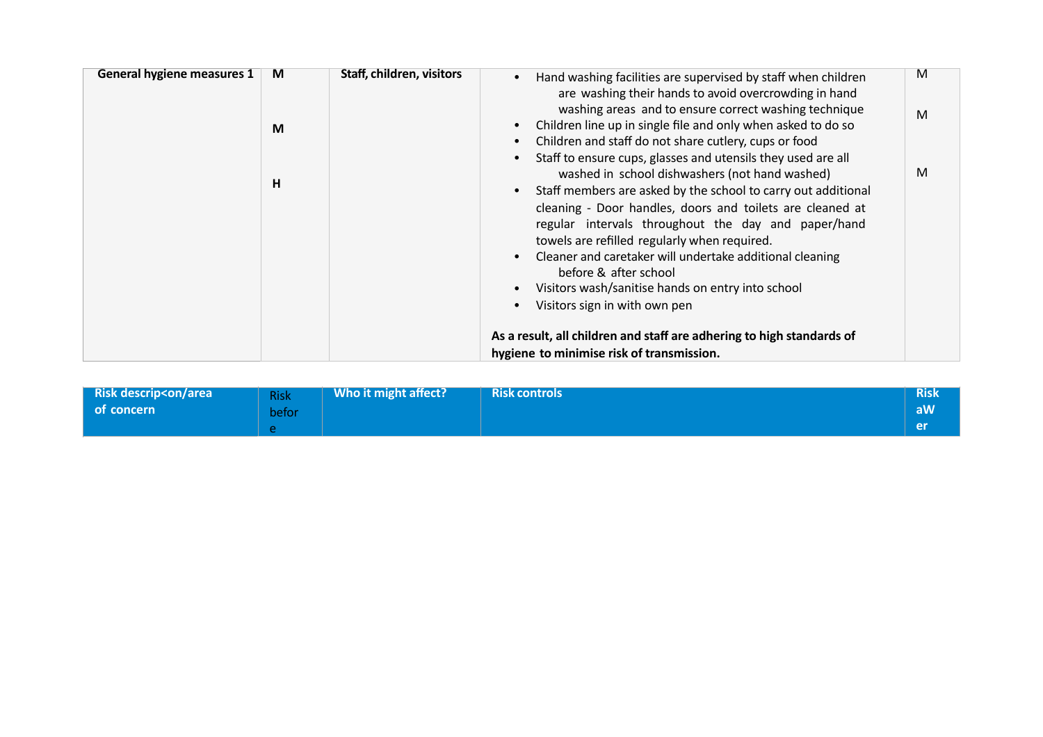| <b>General hygiene measures 1</b> | M<br>M<br>н | Staff, children, visitors | Hand washing facilities are supervised by staff when children<br>are washing their hands to avoid overcrowding in hand<br>washing areas and to ensure correct washing technique<br>Children line up in single file and only when asked to do so<br>Children and staff do not share cutlery, cups or food<br>Staff to ensure cups, glasses and utensils they used are all<br>washed in school dishwashers (not hand washed)<br>Staff members are asked by the school to carry out additional<br>cleaning - Door handles, doors and toilets are cleaned at<br>regular intervals throughout the day and paper/hand | M<br>M<br>M |
|-----------------------------------|-------------|---------------------------|-----------------------------------------------------------------------------------------------------------------------------------------------------------------------------------------------------------------------------------------------------------------------------------------------------------------------------------------------------------------------------------------------------------------------------------------------------------------------------------------------------------------------------------------------------------------------------------------------------------------|-------------|
|                                   |             |                           | towels are refilled regularly when required.<br>Cleaner and caretaker will undertake additional cleaning<br>before & after school<br>Visitors wash/sanitise hands on entry into school<br>Visitors sign in with own pen                                                                                                                                                                                                                                                                                                                                                                                         |             |
|                                   |             |                           | As a result, all children and staff are adhering to high standards of<br>hygiene to minimise risk of transmission.                                                                                                                                                                                                                                                                                                                                                                                                                                                                                              |             |

| <b>Risk descrip<on area<="" b=""></on></b> | <b>Risk</b> | Who it might affect? | <b>Risk controls</b> | <b>Risk</b> |
|--------------------------------------------|-------------|----------------------|----------------------|-------------|
| of concern                                 | befor       |                      |                      | <b>aW</b>   |
|                                            |             |                      |                      | <b>Per</b>  |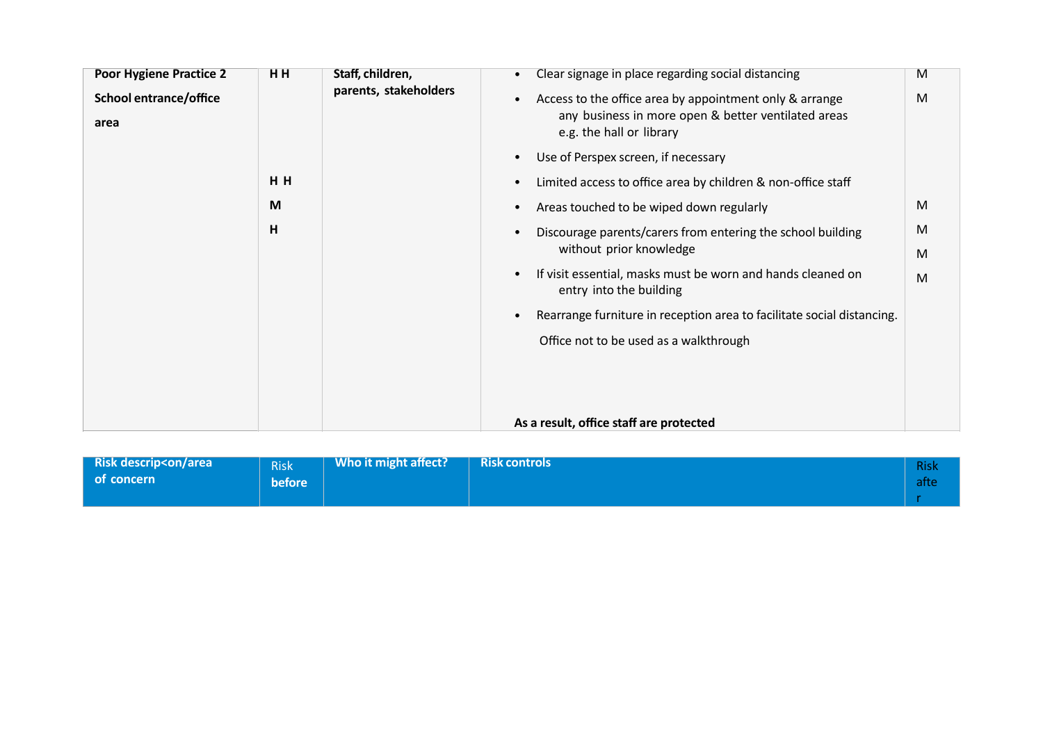| <b>Poor Hygiene Practice 2</b><br><b>School entrance/office</b><br>area | HH<br>HH | Staff, children,<br>parents, stakeholders | Clear signage in place regarding social distancing<br>M<br>$\bullet$<br>M<br>Access to the office area by appointment only & arrange<br>$\bullet$<br>any business in more open & better ventilated areas<br>e.g. the hall or library<br>Use of Perspex screen, if necessary<br>$\bullet$<br>Limited access to office area by children & non-office staff<br>$\bullet$                                                                                  |  |
|-------------------------------------------------------------------------|----------|-------------------------------------------|--------------------------------------------------------------------------------------------------------------------------------------------------------------------------------------------------------------------------------------------------------------------------------------------------------------------------------------------------------------------------------------------------------------------------------------------------------|--|
|                                                                         | M<br>H   |                                           | M<br>Areas touched to be wiped down regularly<br>$\bullet$<br>M<br>Discourage parents/carers from entering the school building<br>without prior knowledge<br>M<br>If visit essential, masks must be worn and hands cleaned on<br>$\bullet$<br>M<br>entry into the building<br>Rearrange furniture in reception area to facilitate social distancing.<br>$\bullet$<br>Office not to be used as a walkthrough<br>As a result, office staff are protected |  |

| <b>Risk descrip<on area<="" b=""><br/>of concern</on></b> | <b>Risk</b><br>before | Who it might affect? | <b>Risk controls</b> | <b>Risk</b><br><b>afte</b> |
|-----------------------------------------------------------|-----------------------|----------------------|----------------------|----------------------------|
|                                                           |                       |                      |                      |                            |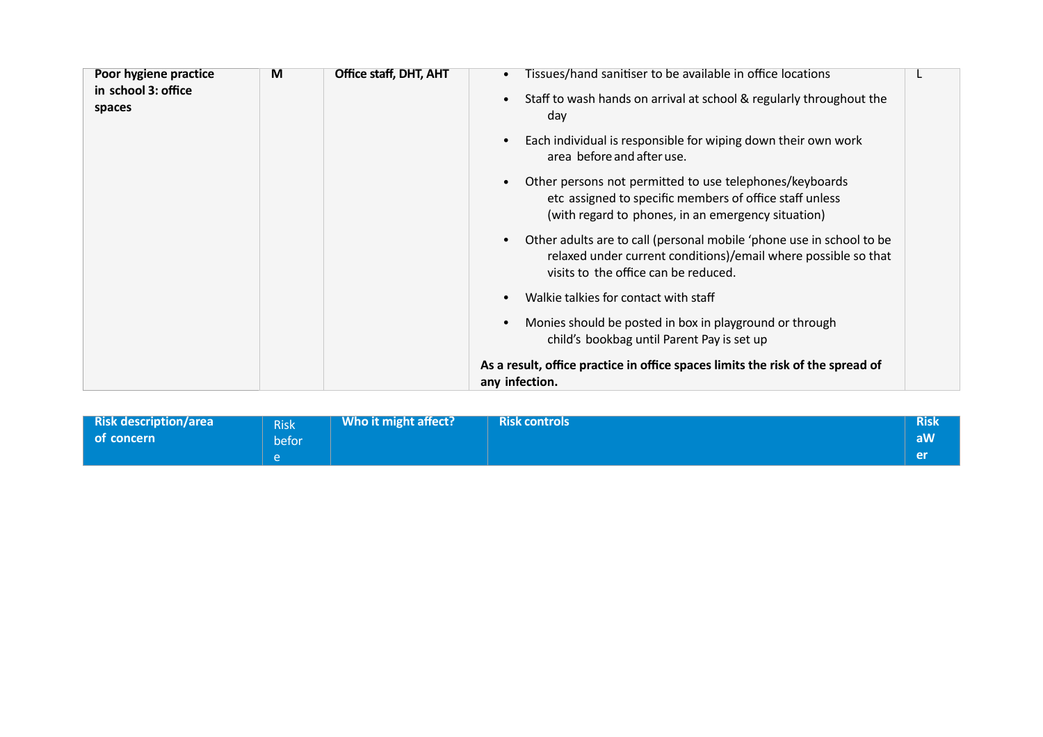| Poor hygiene practice<br>in school 3: office | M | Office staff, DHT, AHT | Tissues/hand sanitiser to be available in office locations                                                                                                                     |  |
|----------------------------------------------|---|------------------------|--------------------------------------------------------------------------------------------------------------------------------------------------------------------------------|--|
| spaces                                       |   |                        | Staff to wash hands on arrival at school & regularly throughout the<br>day                                                                                                     |  |
|                                              |   |                        | Each individual is responsible for wiping down their own work<br>area before and after use.                                                                                    |  |
|                                              |   |                        | Other persons not permitted to use telephones/keyboards<br>etc assigned to specific members of office staff unless<br>(with regard to phones, in an emergency situation)       |  |
|                                              |   |                        | Other adults are to call (personal mobile 'phone use in school to be<br>relaxed under current conditions)/email where possible so that<br>visits to the office can be reduced. |  |
|                                              |   |                        | Walkie talkies for contact with staff                                                                                                                                          |  |
|                                              |   |                        | Monies should be posted in box in playground or through<br>child's bookbag until Parent Pay is set up                                                                          |  |
|                                              |   |                        | As a result, office practice in office spaces limits the risk of the spread of<br>any infection.                                                                               |  |

| <b>Risk description/area</b><br>l of concern | <b>Risk</b><br>befor. | Who it might affect? | <b>Risk controls</b> | <b>Risk</b><br>aW |
|----------------------------------------------|-----------------------|----------------------|----------------------|-------------------|
|                                              |                       |                      |                      | <b>rep</b>        |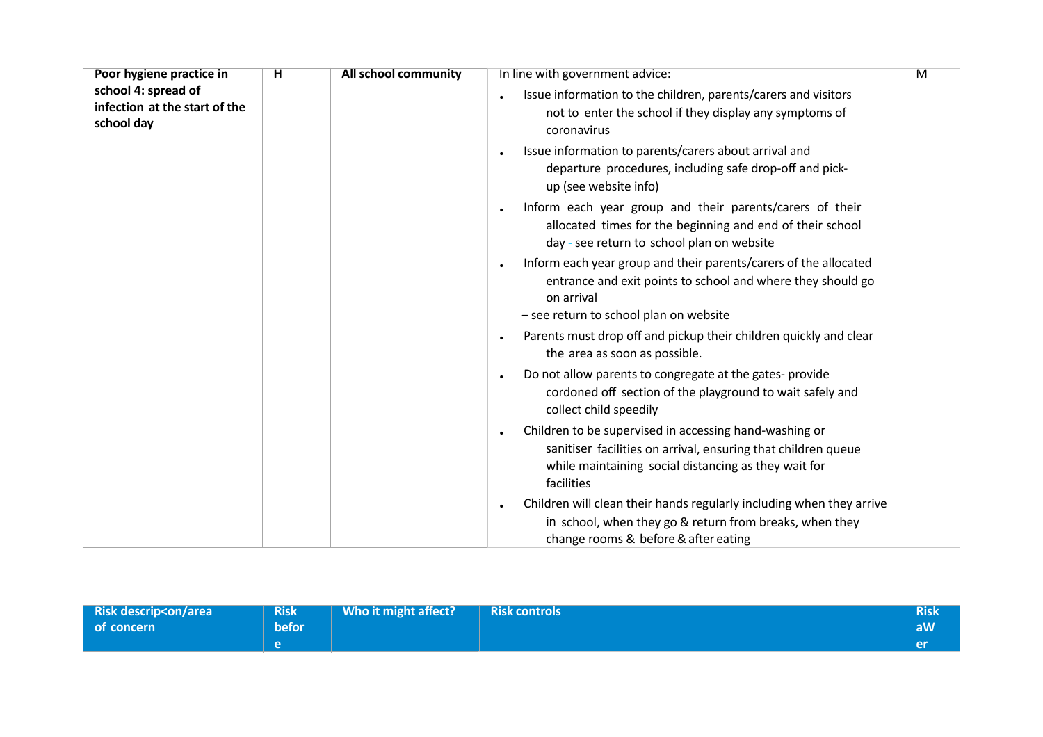| Poor hygiene practice in                                           | н | All school community | In line with government advice:                                                                                                                                                               | M |
|--------------------------------------------------------------------|---|----------------------|-----------------------------------------------------------------------------------------------------------------------------------------------------------------------------------------------|---|
| school 4: spread of<br>infection at the start of the<br>school day |   |                      | Issue information to the children, parents/carers and visitors<br>not to enter the school if they display any symptoms of<br>coronavirus                                                      |   |
|                                                                    |   |                      | Issue information to parents/carers about arrival and<br>departure procedures, including safe drop-off and pick-<br>up (see website info)                                                     |   |
|                                                                    |   |                      | Inform each year group and their parents/carers of their<br>allocated times for the beginning and end of their school<br>day - see return to school plan on website                           |   |
|                                                                    |   |                      | Inform each year group and their parents/carers of the allocated<br>entrance and exit points to school and where they should go<br>on arrival                                                 |   |
|                                                                    |   |                      | - see return to school plan on website<br>Parents must drop off and pickup their children quickly and clear<br>the area as soon as possible.                                                  |   |
|                                                                    |   |                      | Do not allow parents to congregate at the gates-provide<br>cordoned off section of the playground to wait safely and<br>collect child speedily                                                |   |
|                                                                    |   |                      | Children to be supervised in accessing hand-washing or<br>sanitiser facilities on arrival, ensuring that children queue<br>while maintaining social distancing as they wait for<br>facilities |   |
|                                                                    |   |                      | Children will clean their hands regularly including when they arrive<br>in school, when they go & return from breaks, when they<br>change rooms & before & after eating                       |   |

| <b>Risk descrip<on area<="" b=""></on></b> | <b>Risk</b>  | Who it might affect? | <b>Risk controls</b> | <b>Risk</b> |
|--------------------------------------------|--------------|----------------------|----------------------|-------------|
| of concern                                 | <b>befor</b> |                      |                      | aw          |
|                                            |              |                      |                      | <b>er</b>   |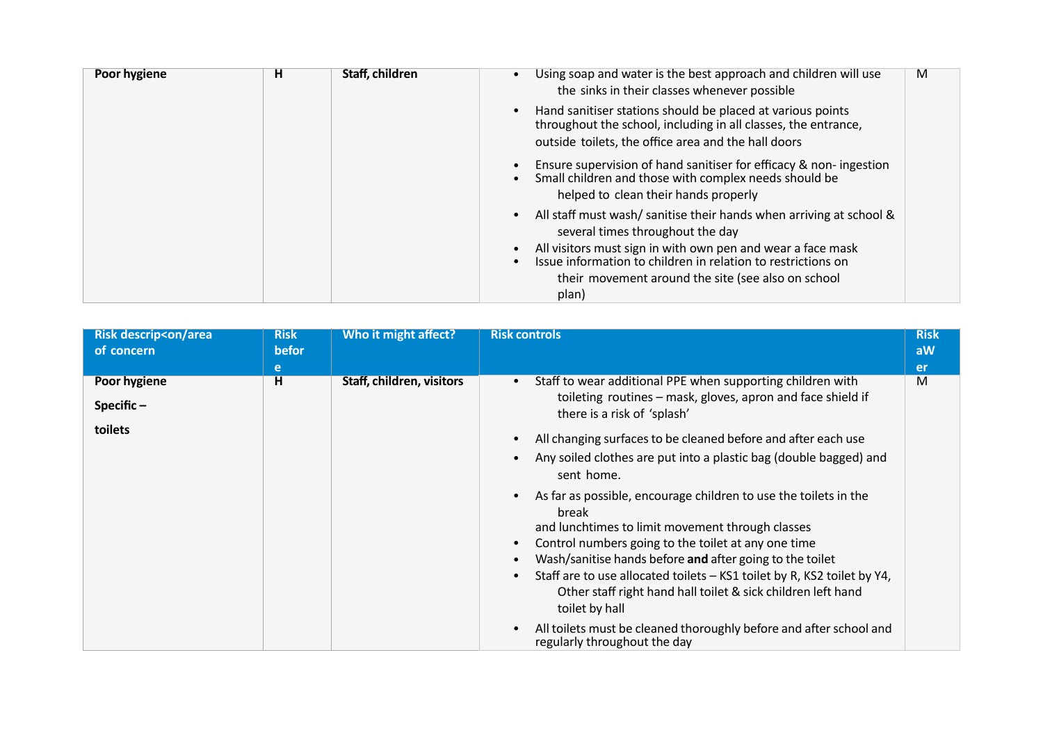| н | Staff, children | Using soap and water is the best approach and children will use<br>M<br>the sinks in their classes whenever possible                                                                |
|---|-----------------|-------------------------------------------------------------------------------------------------------------------------------------------------------------------------------------|
|   |                 | Hand sanitiser stations should be placed at various points<br>throughout the school, including in all classes, the entrance,<br>outside toilets, the office area and the hall doors |
|   |                 | Ensure supervision of hand sanitiser for efficacy & non-ingestion<br>Small children and those with complex needs should be<br>helped to clean their hands properly                  |
|   |                 | All staff must wash/sanitise their hands when arriving at school &<br>several times throughout the day                                                                              |
|   |                 | All visitors must sign in with own pen and wear a face mask<br>Issue information to children in relation to restrictions on                                                         |
|   |                 | their movement around the site (see also on school<br>plan)                                                                                                                         |
|   |                 |                                                                                                                                                                                     |

| <b>Risk descrip<on area<="" b=""><br/>of concern</on></b> | <b>Risk</b><br>befor<br>e | Who it might affect?      | <b>Risk controls</b>                                                                                                                                                                                                                                                                                                                                                                                                                                                                                                                                                                                                                                                                                                                                                                                                                | <b>Risk</b><br>aW<br><b>er</b> |
|-----------------------------------------------------------|---------------------------|---------------------------|-------------------------------------------------------------------------------------------------------------------------------------------------------------------------------------------------------------------------------------------------------------------------------------------------------------------------------------------------------------------------------------------------------------------------------------------------------------------------------------------------------------------------------------------------------------------------------------------------------------------------------------------------------------------------------------------------------------------------------------------------------------------------------------------------------------------------------------|--------------------------------|
| Poor hygiene<br>Specific $-$<br>toilets                   | H                         | Staff, children, visitors | Staff to wear additional PPE when supporting children with<br>toileting routines - mask, gloves, apron and face shield if<br>there is a risk of 'splash'<br>All changing surfaces to be cleaned before and after each use<br>Any soiled clothes are put into a plastic bag (double bagged) and<br>sent home.<br>As far as possible, encourage children to use the toilets in the<br>break<br>and lunchtimes to limit movement through classes<br>Control numbers going to the toilet at any one time<br>Wash/sanitise hands before and after going to the toilet<br>Staff are to use allocated toilets - KS1 toilet by R, KS2 toilet by Y4,<br>Other staff right hand hall toilet & sick children left hand<br>toilet by hall<br>All toilets must be cleaned thoroughly before and after school and<br>regularly throughout the day | M                              |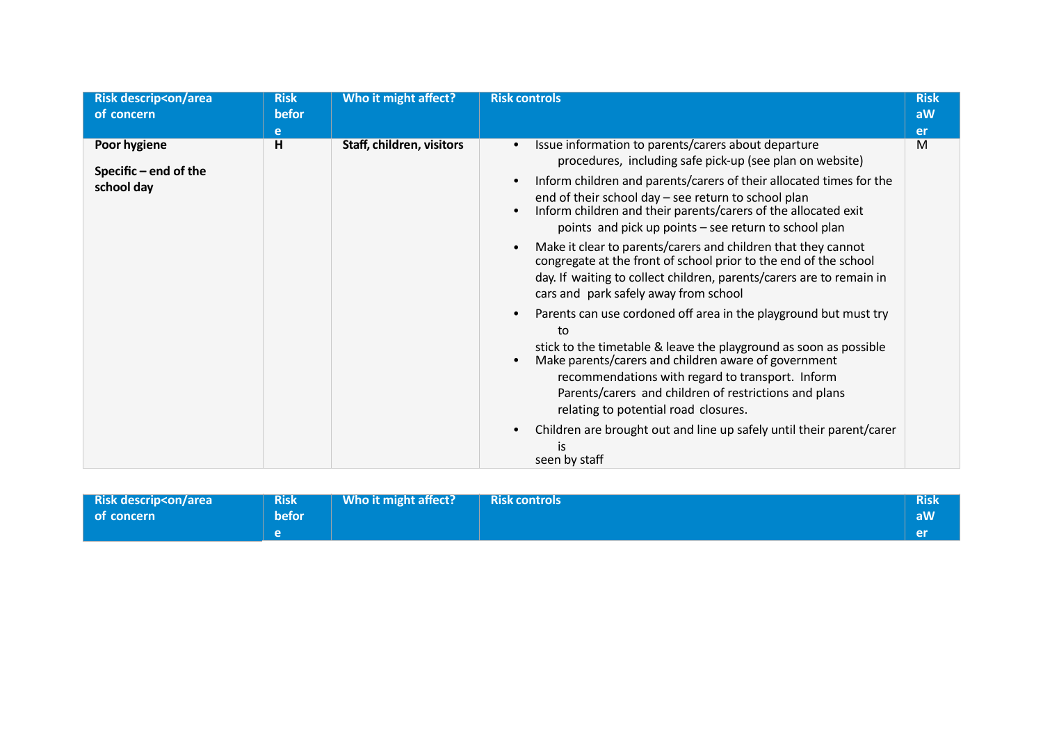| <b>Risk descrip<on area<="" b=""><br/>of concern</on></b> | <b>Risk</b><br>befor<br>e | Who it might affect?      | <b>Risk controls</b>                                                                                                                                                                                                                                                                                                                                                                                                                                                                                                                                                                                                                                                                                                                                                                                                                                                                                                                                                                                                                                                                | <b>Risk</b><br>aW<br>er |
|-----------------------------------------------------------|---------------------------|---------------------------|-------------------------------------------------------------------------------------------------------------------------------------------------------------------------------------------------------------------------------------------------------------------------------------------------------------------------------------------------------------------------------------------------------------------------------------------------------------------------------------------------------------------------------------------------------------------------------------------------------------------------------------------------------------------------------------------------------------------------------------------------------------------------------------------------------------------------------------------------------------------------------------------------------------------------------------------------------------------------------------------------------------------------------------------------------------------------------------|-------------------------|
| Poor hygiene<br>Specific $-$ end of the<br>school day     | H                         | Staff, children, visitors | Issue information to parents/carers about departure<br>procedures, including safe pick-up (see plan on website)<br>Inform children and parents/carers of their allocated times for the<br>end of their school day - see return to school plan<br>Inform children and their parents/carers of the allocated exit<br>points and pick up points – see return to school plan<br>Make it clear to parents/carers and children that they cannot<br>congregate at the front of school prior to the end of the school<br>day. If waiting to collect children, parents/carers are to remain in<br>cars and park safely away from school<br>Parents can use cordoned off area in the playground but must try<br>to<br>stick to the timetable & leave the playground as soon as possible<br>Make parents/carers and children aware of government<br>recommendations with regard to transport. Inform<br>Parents/carers and children of restrictions and plans<br>relating to potential road closures.<br>Children are brought out and line up safely until their parent/carer<br>seen by staff | M                       |

| <b>Risk descrip<on area<="" b=""></on></b> | <b>Risk</b> | Who it might affect? | <b>Risk controls</b> | <b>Risk</b> |
|--------------------------------------------|-------------|----------------------|----------------------|-------------|
| l of concern                               | befor.      |                      |                      | aW/         |
|                                            |             |                      |                      | / en        |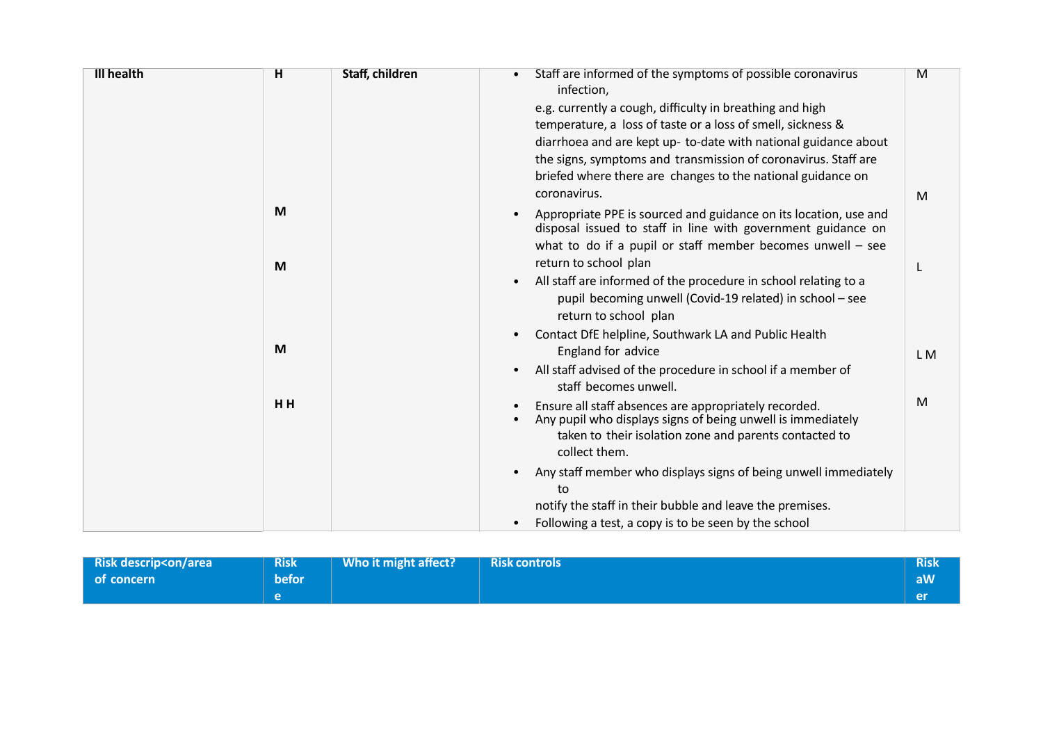| <b>Ill health</b> | н   | Staff, children | Staff are informed of the symptoms of possible coronavirus                                                                       | M              |
|-------------------|-----|-----------------|----------------------------------------------------------------------------------------------------------------------------------|----------------|
|                   |     |                 | infection,                                                                                                                       |                |
|                   |     |                 | e.g. currently a cough, difficulty in breathing and high                                                                         |                |
|                   |     |                 | temperature, a loss of taste or a loss of smell, sickness &                                                                      |                |
|                   |     |                 | diarrhoea and are kept up- to-date with national guidance about                                                                  |                |
|                   |     |                 | the signs, symptoms and transmission of coronavirus. Staff are                                                                   |                |
|                   |     |                 | briefed where there are changes to the national guidance on                                                                      |                |
|                   |     |                 | coronavirus.                                                                                                                     | M              |
|                   | M   |                 | Appropriate PPE is sourced and guidance on its location, use and<br>disposal issued to staff in line with government guidance on |                |
|                   |     |                 | what to do if a pupil or staff member becomes unwell $-$ see                                                                     |                |
|                   | M   |                 | return to school plan                                                                                                            |                |
|                   |     |                 | All staff are informed of the procedure in school relating to a<br>$\bullet$                                                     |                |
|                   |     |                 | pupil becoming unwell (Covid-19 related) in school - see                                                                         |                |
|                   |     |                 | return to school plan                                                                                                            |                |
|                   |     |                 | Contact DfE helpline, Southwark LA and Public Health                                                                             |                |
|                   | M   |                 | England for advice                                                                                                               | L <sub>M</sub> |
|                   |     |                 | All staff advised of the procedure in school if a member of                                                                      |                |
|                   |     |                 | staff becomes unwell.                                                                                                            |                |
|                   | HH. |                 | Ensure all staff absences are appropriately recorded.                                                                            | M              |
|                   |     |                 | Any pupil who displays signs of being unwell is immediately                                                                      |                |
|                   |     |                 | taken to their isolation zone and parents contacted to                                                                           |                |
|                   |     |                 | collect them.                                                                                                                    |                |
|                   |     |                 | Any staff member who displays signs of being unwell immediately                                                                  |                |
|                   |     |                 | to                                                                                                                               |                |
|                   |     |                 | notify the staff in their bubble and leave the premises.                                                                         |                |
|                   |     |                 | Following a test, a copy is to be seen by the school                                                                             |                |

| <b>Risk descrip<on area<="" b=""></on></b> | <b>Risk</b> | Who it might affect? | <b>Risk controls</b> | <b>Risk</b> |
|--------------------------------------------|-------------|----------------------|----------------------|-------------|
| of concern                                 | befor       |                      |                      |             |
|                                            |             |                      |                      | er          |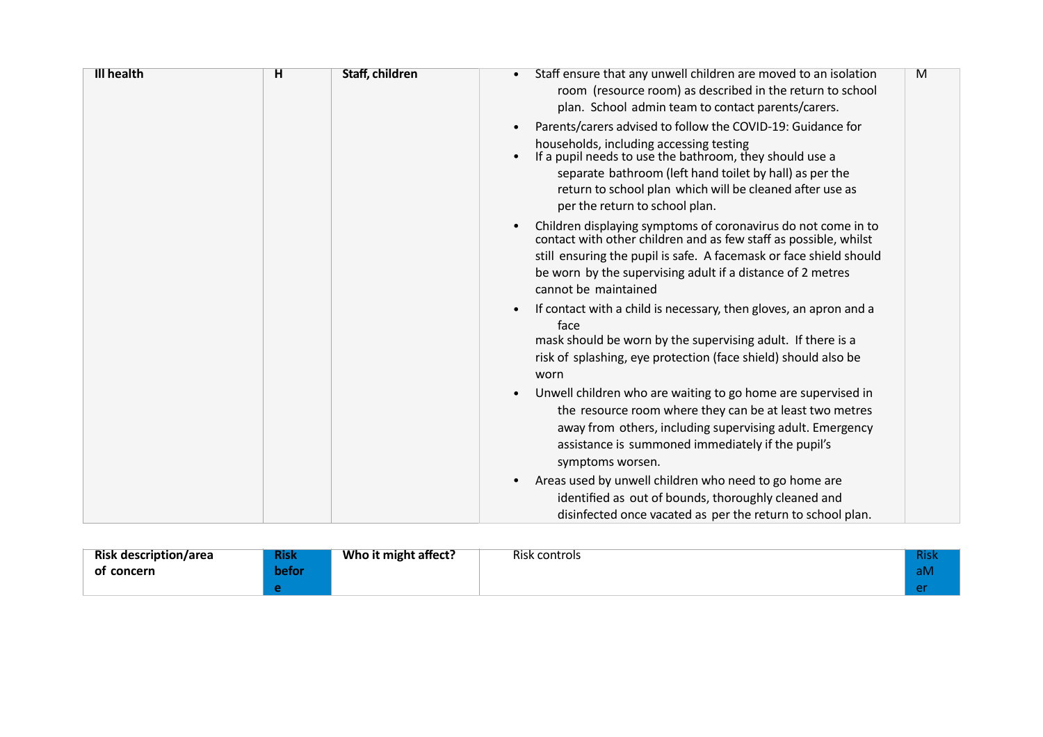| <b>Ill health</b> | н | Staff, children | Staff ensure that any unwell children are moved to an isolation<br>M<br>room (resource room) as described in the return to school<br>plan. School admin team to contact parents/carers.                                                                                                                                    |
|-------------------|---|-----------------|----------------------------------------------------------------------------------------------------------------------------------------------------------------------------------------------------------------------------------------------------------------------------------------------------------------------------|
|                   |   |                 | Parents/carers advised to follow the COVID-19: Guidance for<br>households, including accessing testing<br>If a pupil needs to use the bathroom, they should use a<br>separate bathroom (left hand toilet by hall) as per the<br>return to school plan which will be cleaned after use as<br>per the return to school plan. |
|                   |   |                 | Children displaying symptoms of coronavirus do not come in to<br>contact with other children and as few staff as possible, whilst<br>still ensuring the pupil is safe. A facemask or face shield should<br>be worn by the supervising adult if a distance of 2 metres<br>cannot be maintained                              |
|                   |   |                 | If contact with a child is necessary, then gloves, an apron and a<br>face<br>mask should be worn by the supervising adult. If there is a<br>risk of splashing, eye protection (face shield) should also be<br>worn                                                                                                         |
|                   |   |                 | Unwell children who are waiting to go home are supervised in<br>the resource room where they can be at least two metres<br>away from others, including supervising adult. Emergency<br>assistance is summoned immediately if the pupil's<br>symptoms worsen.                                                               |
|                   |   |                 | Areas used by unwell children who need to go home are<br>identified as out of bounds, thoroughly cleaned and<br>disinfected once vacated as per the return to school plan.                                                                                                                                                 |

| <b>Risk description/area</b> | <b>Risk</b> | Who it might affect? | Risk controls | <b>Rish</b> |
|------------------------------|-------------|----------------------|---------------|-------------|
| concern<br>оt                | befor       |                      |               | alv         |
|                              |             |                      |               |             |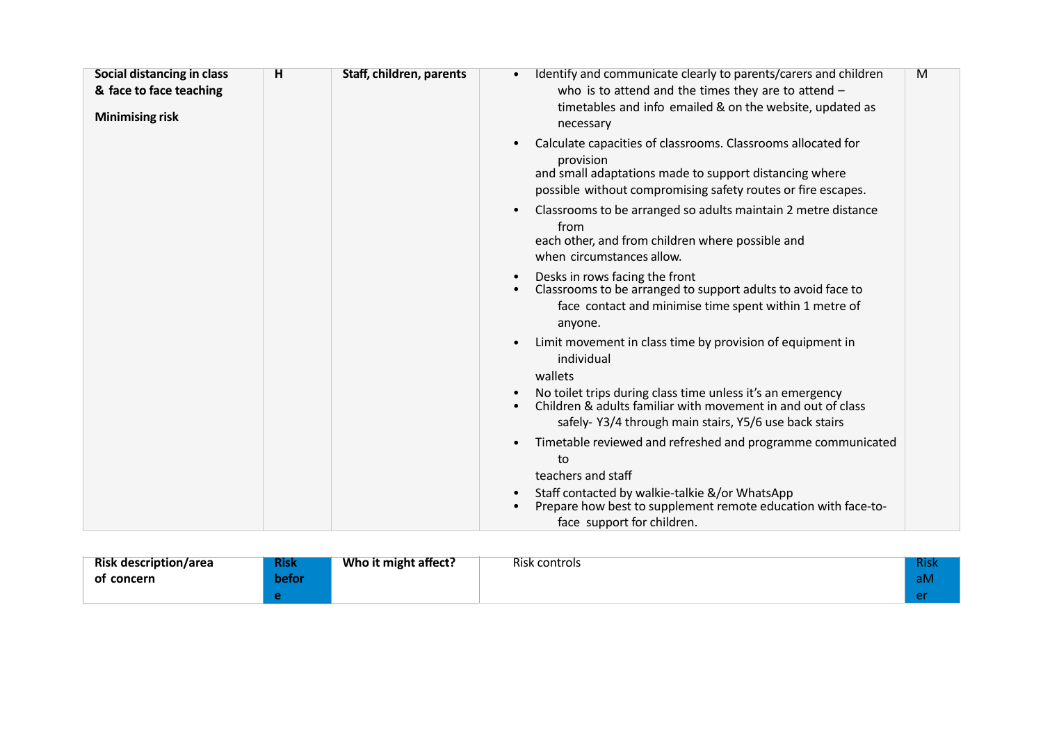| Social distancing in class<br>& face to face teaching<br><b>Minimising risk</b> | H | Staff, children, parents | Identify and communicate clearly to parents/carers and children<br>M<br>who is to attend and the times they are to attend $-$<br>timetables and info emailed & on the website, updated as<br>necessary |
|---------------------------------------------------------------------------------|---|--------------------------|--------------------------------------------------------------------------------------------------------------------------------------------------------------------------------------------------------|
|                                                                                 |   |                          | Calculate capacities of classrooms. Classrooms allocated for<br>provision<br>and small adaptations made to support distancing where<br>possible without compromising safety routes or fire escapes.    |
|                                                                                 |   |                          | Classrooms to be arranged so adults maintain 2 metre distance<br>from<br>each other, and from children where possible and<br>when circumstances allow.                                                 |
|                                                                                 |   |                          | Desks in rows facing the front<br>Classrooms to be arranged to support adults to avoid face to<br>face contact and minimise time spent within 1 metre of<br>anyone.                                    |
|                                                                                 |   |                          | Limit movement in class time by provision of equipment in<br>$\bullet$<br>individual<br>wallets                                                                                                        |
|                                                                                 |   |                          | No toilet trips during class time unless it's an emergency<br>Children & adults familiar with movement in and out of class<br>safely-Y3/4 through main stairs, Y5/6 use back stairs                    |
|                                                                                 |   |                          | Timetable reviewed and refreshed and programme communicated<br>to<br>teachers and staff                                                                                                                |
|                                                                                 |   |                          | Staff contacted by walkie-talkie &/or WhatsApp<br>Prepare how best to supplement remote education with face-to-<br>face support for children.                                                          |

| <b>Risk description/area</b> | <b>Risk</b> | Who it might affect? | Risk controls | <b>Risk</b> |
|------------------------------|-------------|----------------------|---------------|-------------|
| of concern                   | befor       |                      |               | aM          |
|                              |             |                      |               |             |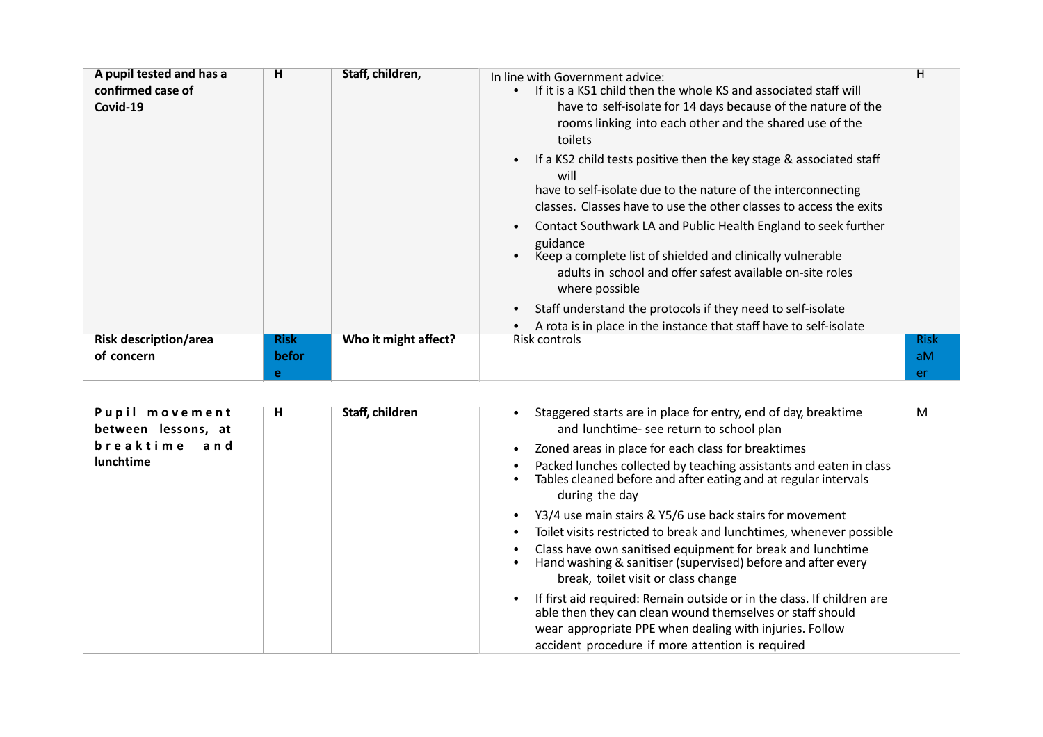| A pupil tested and has a<br>confirmed case of<br>Covid-19 | н            | Staff, children,     | In line with Government advice:<br>If it is a KS1 child then the whole KS and associated staff will<br>have to self-isolate for 14 days because of the nature of the<br>rooms linking into each other and the shared use of the<br>toilets<br>If a KS2 child tests positive then the key stage & associated staff<br>$\bullet$<br>will<br>have to self-isolate due to the nature of the interconnecting<br>classes. Classes have to use the other classes to access the exits<br>Contact Southwark LA and Public Health England to seek further<br>guidance<br>Keep a complete list of shielded and clinically vulnerable<br>adults in school and offer safest available on-site roles<br>where possible<br>Staff understand the protocols if they need to self-isolate<br>A rota is in place in the instance that staff have to self-isolate | н           |
|-----------------------------------------------------------|--------------|----------------------|-----------------------------------------------------------------------------------------------------------------------------------------------------------------------------------------------------------------------------------------------------------------------------------------------------------------------------------------------------------------------------------------------------------------------------------------------------------------------------------------------------------------------------------------------------------------------------------------------------------------------------------------------------------------------------------------------------------------------------------------------------------------------------------------------------------------------------------------------|-------------|
| <b>Risk description/area</b>                              | <b>Risk</b>  | Who it might affect? | Risk controls                                                                                                                                                                                                                                                                                                                                                                                                                                                                                                                                                                                                                                                                                                                                                                                                                                 | <b>Risk</b> |
| of concern                                                | <b>befor</b> |                      |                                                                                                                                                                                                                                                                                                                                                                                                                                                                                                                                                                                                                                                                                                                                                                                                                                               | aM          |
|                                                           | e            |                      |                                                                                                                                                                                                                                                                                                                                                                                                                                                                                                                                                                                                                                                                                                                                                                                                                                               | er.         |

| Pupil movement<br>between lessons, at<br>breaktime<br>and<br>lunchtime | н | Staff, children | Staggered starts are in place for entry, end of day, breaktime<br>M<br>and lunchtime- see return to school plan<br>Zoned areas in place for each class for breaktimes<br>Packed lunches collected by teaching assistants and eaten in class<br>Tables cleaned before and after eating and at regular intervals<br>during the day |
|------------------------------------------------------------------------|---|-----------------|----------------------------------------------------------------------------------------------------------------------------------------------------------------------------------------------------------------------------------------------------------------------------------------------------------------------------------|
|                                                                        |   |                 | Y3/4 use main stairs & Y5/6 use back stairs for movement<br>Toilet visits restricted to break and lunchtimes, whenever possible<br>Class have own sanitised equipment for break and lunchtime<br>Hand washing & sanitiser (supervised) before and after every<br>break, toilet visit or class change                             |
|                                                                        |   |                 | If first aid required: Remain outside or in the class. If children are<br>able then they can clean wound themselves or staff should<br>wear appropriate PPE when dealing with injuries. Follow<br>accident procedure if more attention is required                                                                               |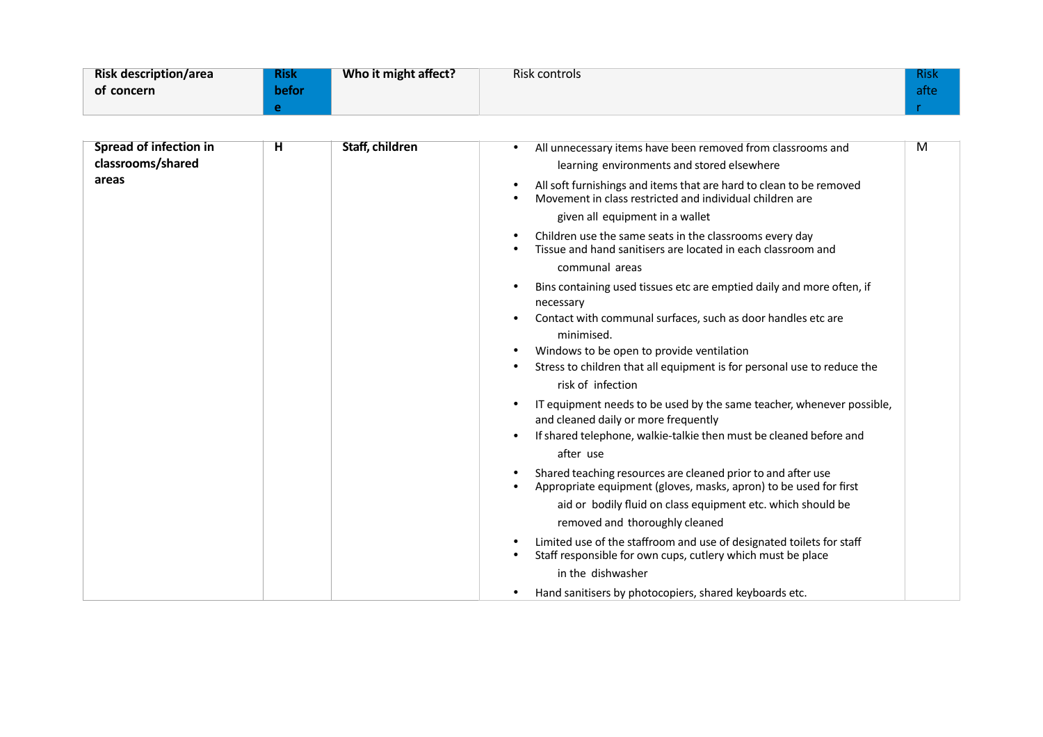| <b>Risk description/area</b> | <b>Risk</b> | Who it might affect? | Risk controls | <b>Risk</b> |
|------------------------------|-------------|----------------------|---------------|-------------|
| of concern                   | befor       |                      |               | afte        |
|                              |             |                      |               |             |

| <b>Spread of infection in</b><br>classrooms/shared<br>areas | н | Staff, children | All unnecessary items have been removed from classrooms and<br>$\bullet$<br>learning environments and stored elsewhere<br>All soft furnishings and items that are hard to clean to be removed<br>$\bullet$<br>Movement in class restricted and individual children are<br>given all equipment in a wallet<br>Children use the same seats in the classrooms every day<br>$\bullet$<br>Tissue and hand sanitisers are located in each classroom and<br>communal areas<br>Bins containing used tissues etc are emptied daily and more often, if<br>$\bullet$<br>necessary<br>Contact with communal surfaces, such as door handles etc are<br>$\bullet$<br>minimised.<br>Windows to be open to provide ventilation<br>$\bullet$<br>Stress to children that all equipment is for personal use to reduce the<br>risk of infection<br>IT equipment needs to be used by the same teacher, whenever possible,<br>and cleaned daily or more frequently<br>If shared telephone, walkie-talkie then must be cleaned before and<br>after use<br>Shared teaching resources are cleaned prior to and after use<br>$\bullet$<br>Appropriate equipment (gloves, masks, apron) to be used for first<br>$\bullet$<br>aid or bodily fluid on class equipment etc. which should be | M |
|-------------------------------------------------------------|---|-----------------|---------------------------------------------------------------------------------------------------------------------------------------------------------------------------------------------------------------------------------------------------------------------------------------------------------------------------------------------------------------------------------------------------------------------------------------------------------------------------------------------------------------------------------------------------------------------------------------------------------------------------------------------------------------------------------------------------------------------------------------------------------------------------------------------------------------------------------------------------------------------------------------------------------------------------------------------------------------------------------------------------------------------------------------------------------------------------------------------------------------------------------------------------------------------------------------------------------------------------------------------------------------|---|
|                                                             |   |                 | removed and thoroughly cleaned<br>Limited use of the staffroom and use of designated toilets for staff<br>$\bullet$<br>Staff responsible for own cups, cutlery which must be place<br>in the dishwasher<br>Hand sanitisers by photocopiers, shared keyboards etc.<br>$\bullet$                                                                                                                                                                                                                                                                                                                                                                                                                                                                                                                                                                                                                                                                                                                                                                                                                                                                                                                                                                                |   |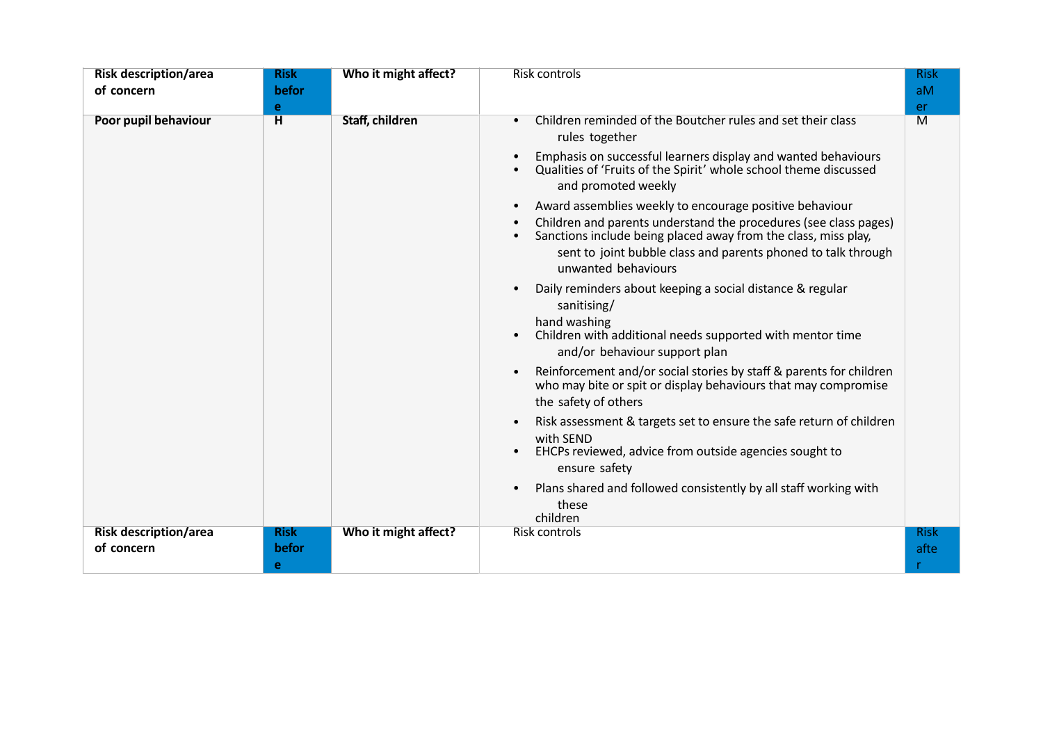| <b>Risk description/area</b><br>of concern | <b>Risk</b><br>befor<br>e | Who it might affect? | <b>Risk controls</b>                                                                                                                                                                                                                                                                                                                                                                                                                                                                                                                                                                                                                                                                                                                                                                                                                                                                                                                                                                                                                                                      | <b>Risk</b><br>aM<br>er |
|--------------------------------------------|---------------------------|----------------------|---------------------------------------------------------------------------------------------------------------------------------------------------------------------------------------------------------------------------------------------------------------------------------------------------------------------------------------------------------------------------------------------------------------------------------------------------------------------------------------------------------------------------------------------------------------------------------------------------------------------------------------------------------------------------------------------------------------------------------------------------------------------------------------------------------------------------------------------------------------------------------------------------------------------------------------------------------------------------------------------------------------------------------------------------------------------------|-------------------------|
| Poor pupil behaviour                       | н                         | Staff, children      | Children reminded of the Boutcher rules and set their class<br>$\bullet$<br>rules together<br>Emphasis on successful learners display and wanted behaviours<br>Qualities of 'Fruits of the Spirit' whole school theme discussed<br>and promoted weekly<br>Award assemblies weekly to encourage positive behaviour<br>Children and parents understand the procedures (see class pages)<br>Sanctions include being placed away from the class, miss play,<br>sent to joint bubble class and parents phoned to talk through<br>unwanted behaviours<br>Daily reminders about keeping a social distance & regular<br>sanitising/<br>hand washing<br>Children with additional needs supported with mentor time<br>and/or behaviour support plan<br>Reinforcement and/or social stories by staff & parents for children<br>who may bite or spit or display behaviours that may compromise<br>the safety of others<br>Risk assessment & targets set to ensure the safe return of children<br>with SEND<br>EHCPs reviewed, advice from outside agencies sought to<br>ensure safety | M                       |
|                                            |                           |                      | Plans shared and followed consistently by all staff working with<br>these<br>children                                                                                                                                                                                                                                                                                                                                                                                                                                                                                                                                                                                                                                                                                                                                                                                                                                                                                                                                                                                     |                         |
| <b>Risk description/area</b><br>of concern | <b>Risk</b><br>befor<br>e | Who it might affect? | Risk controls                                                                                                                                                                                                                                                                                                                                                                                                                                                                                                                                                                                                                                                                                                                                                                                                                                                                                                                                                                                                                                                             | <b>Risk</b><br>afte     |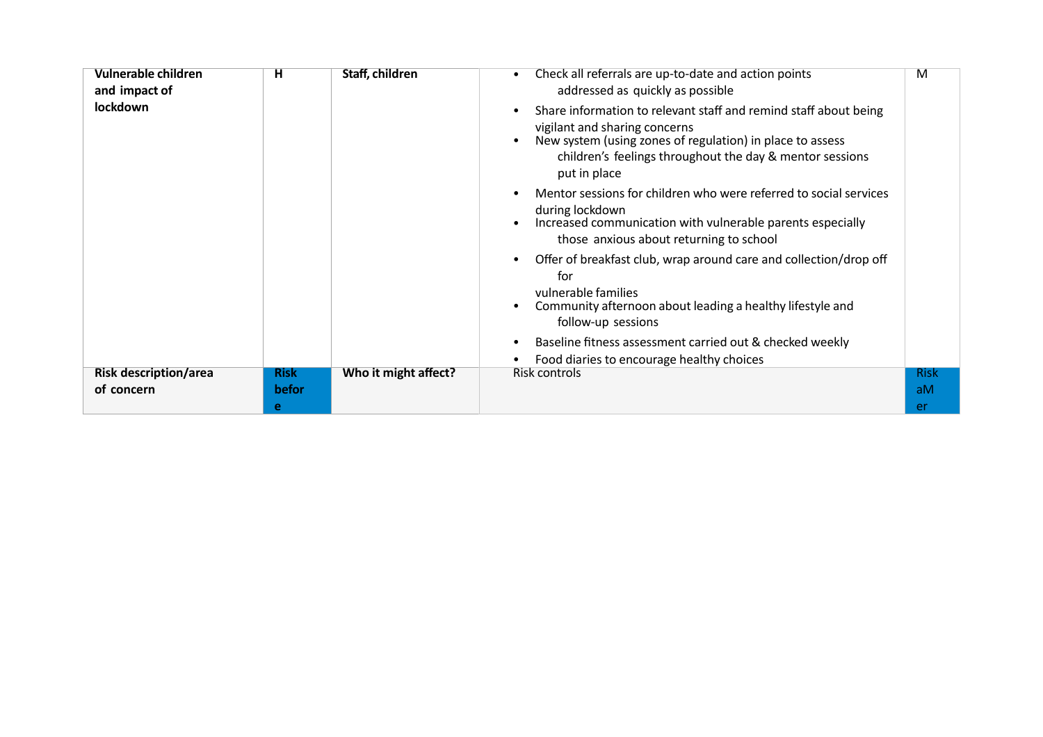| Vulnerable children<br>and impact of<br>lockdown | н                         | Staff, children      | Check all referrals are up-to-date and action points<br>addressed as quickly as possible<br>Share information to relevant staff and remind staff about being<br>vigilant and sharing concerns<br>New system (using zones of regulation) in place to assess<br>children's feelings throughout the day & mentor sessions<br>put in place | M                       |
|--------------------------------------------------|---------------------------|----------------------|----------------------------------------------------------------------------------------------------------------------------------------------------------------------------------------------------------------------------------------------------------------------------------------------------------------------------------------|-------------------------|
|                                                  |                           |                      | Mentor sessions for children who were referred to social services<br>during lockdown<br>Increased communication with vulnerable parents especially<br>those anxious about returning to school                                                                                                                                          |                         |
|                                                  |                           |                      | Offer of breakfast club, wrap around care and collection/drop off<br>for<br>vulnerable families<br>Community afternoon about leading a healthy lifestyle and<br>follow-up sessions                                                                                                                                                     |                         |
|                                                  |                           |                      | Baseline fitness assessment carried out & checked weekly<br>Food diaries to encourage healthy choices                                                                                                                                                                                                                                  |                         |
| <b>Risk description/area</b><br>of concern       | <b>Risk</b><br>befor<br>e | Who it might affect? | Risk controls                                                                                                                                                                                                                                                                                                                          | <b>Risk</b><br>aM<br>er |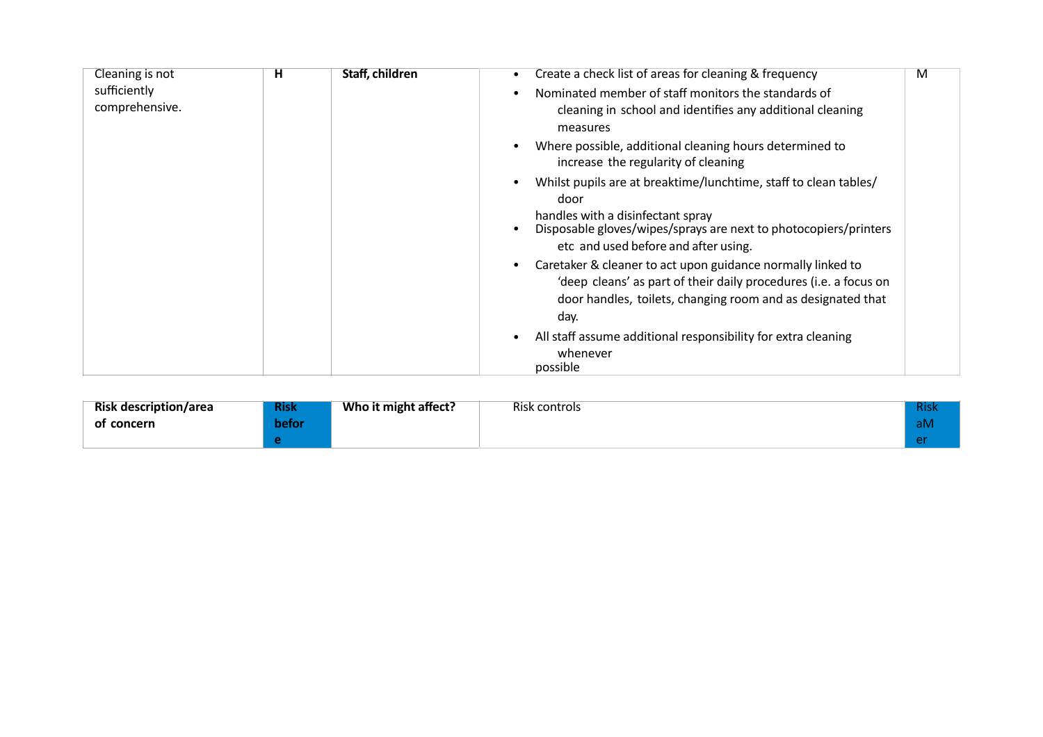| Cleaning is not                | н | Staff, children | Create a check list of areas for cleaning & frequency                                                                                                                                                  | M |
|--------------------------------|---|-----------------|--------------------------------------------------------------------------------------------------------------------------------------------------------------------------------------------------------|---|
| sufficiently<br>comprehensive. |   |                 | Nominated member of staff monitors the standards of<br>cleaning in school and identifies any additional cleaning<br>measures                                                                           |   |
|                                |   |                 | Where possible, additional cleaning hours determined to<br>increase the regularity of cleaning                                                                                                         |   |
|                                |   |                 | Whilst pupils are at breaktime/lunchtime, staff to clean tables/<br>door                                                                                                                               |   |
|                                |   |                 | handles with a disinfectant spray<br>Disposable gloves/wipes/sprays are next to photocopiers/printers<br>etc and used before and after using.                                                          |   |
|                                |   |                 | Caretaker & cleaner to act upon guidance normally linked to<br>'deep cleans' as part of their daily procedures (i.e. a focus on<br>door handles, toilets, changing room and as designated that<br>day. |   |
|                                |   |                 | All staff assume additional responsibility for extra cleaning<br>whenever<br>possible                                                                                                                  |   |

| <b>Risk description/area</b> | <b>Risk</b> | Who it might affect? | Risk controls | <b>Risk</b> |
|------------------------------|-------------|----------------------|---------------|-------------|
| of concern                   | befor       |                      |               | aM          |
|                              |             |                      |               | $\sim$      |